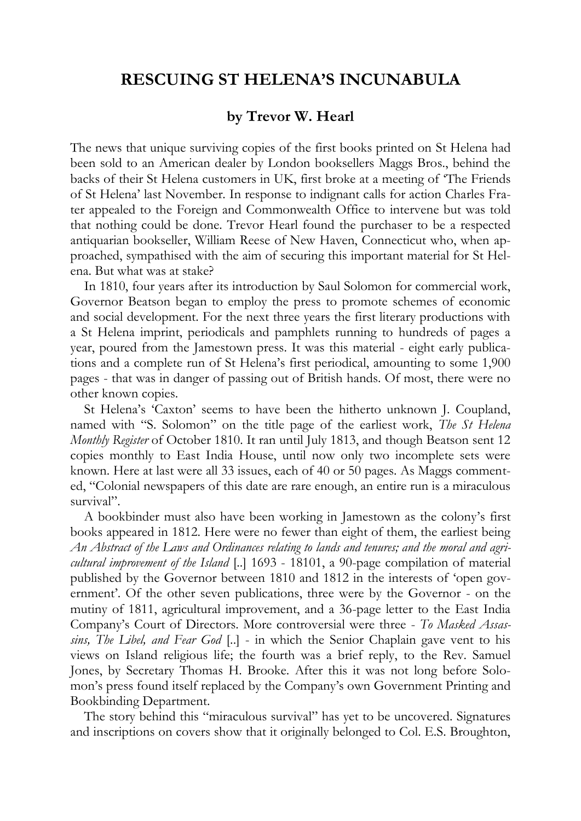## **RESCUING ST HELENA'S INCUNABULA**

## **by Trevor W. Hearl**

The news that unique surviving copies of the first books printed on St Helena had been sold to an American dealer by London booksellers Maggs Bros., behind the backs of their St Helena customers in UK, first broke at a meeting of 'The Friends of St Helena' last November. In response to indignant calls for action Charles Frater appealed to the Foreign and Commonwealth Office to intervene but was told that nothing could be done. Trevor Hearl found the purchaser to be a respected antiquarian bookseller, William Reese of New Haven, Connecticut who, when approached, sympathised with the aim of securing this important material for St Helena. But what was at stake?

In 1810, four years after its introduction by Saul Solomon for commercial work, Governor Beatson began to employ the press to promote schemes of economic and social development. For the next three years the first literary productions with a St Helena imprint, periodicals and pamphlets running to hundreds of pages a year, poured from the Jamestown press. It was this material - eight early publications and a complete run of St Helena's first periodical, amounting to some 1,900 pages - that was in danger of passing out of British hands. Of most, there were no other known copies.

St Helena's 'Caxton' seems to have been the hitherto unknown J. Coupland, named with "S. Solomon" on the title page of the earliest work, *The St Helena Monthly Register* of October 1810. It ran until July 1813, and though Beatson sent 12 copies monthly to East India House, until now only two incomplete sets were known. Here at last were all 33 issues, each of 40 or 50 pages. As Maggs commented, "Colonial newspapers of this date are rare enough, an entire run is a miraculous survival".

A bookbinder must also have been working in Jamestown as the colony's first books appeared in 1812. Here were no fewer than eight of them, the earliest being *An Abstract of the Laws and Ordinances relating to lands and tenures; and the moral and agricultural improvement of the Island* [..] 1693 - 18101, a 90-page compilation of material published by the Governor between 1810 and 1812 in the interests of 'open government'. Of the other seven publications, three were by the Governor - on the mutiny of 1811, agricultural improvement, and a 36-page letter to the East India Company's Court of Directors. More controversial were three - *To Masked Assassins, The Libel, and Fear God* [..] - in which the Senior Chaplain gave vent to his views on Island religious life; the fourth was a brief reply, to the Rev. Samuel Jones, by Secretary Thomas H. Brooke. After this it was not long before Solomon's press found itself replaced by the Company's own Government Printing and Bookbinding Department.

The story behind this "miraculous survival" has yet to be uncovered. Signatures and inscriptions on covers show that it originally belonged to Col. E.S. Broughton,